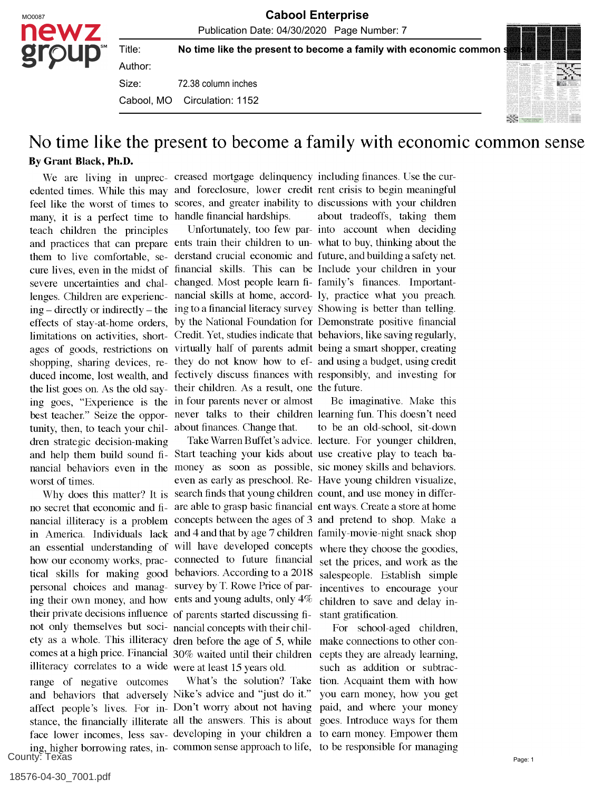No time like the present to become a family with economic common

72.38 column inches Author: Size: Cabool, MO Circulation: 1152

Title:



## No time like the present to become a family with economic common sense By Grant Black, Ph.D.

We are living in unprec- creased mortgage delinquency including finances. Use the curedented times. While this may and foreclosure, lower credit rent crisis to begin meaningful feel like the worst of times to scores, and greater inability to discussions with your children many, it is a perfect time to handle financial hardships. teach children the principles and practices that can prepare ents train their children to un-what to buy, thinking about the them to live comfortable, se-derstand crucial economic and future, and building a safety net. cure lives, even in the midst of financial skills. This can be Include your children in your severe uncertainties and chal- changed. Most people learn fi- family's finances. Importantlenges. Children are experienc-nancial skills at home, accord-ly, practice what you preach.  $\frac{1}{\pi}$  directly or indirectly – the ing to a financial literacy survey. Showing is better than telling. effects of stay-at-home orders, by the National Foundation for Demonstrate positive financial limitations on activities, short-Credit. Yet, studies indicate that behaviors, like saving regularly, ages of goods, restrictions on virtually half of parents admit being a smart shopper, creating shopping, sharing devices, re- they do not know how to ef- and using a budget, using credit duced income, lost wealth, and fectively discuss finances with responsibly, and investing for the list goes on. As the old say-their children. As a result, one the future. ing goes, "Experience is the in four parents never or almost best teacher." Seize the oppor-never talks to their children learning fun. This doesn't need tunity, then, to teach your chil-<br>about finances. Change that. dren strategic decision-making and help them build sound fi- Start teaching your kids about use creative play to teach banancial behaviors even in the money as soon as possible, sic money skills and behaviors. worst of times.

no secret that economic and fi- are able to grasp basic financial ent ways. Create a store at home nancial illiteracy is a problem concepts between the ages of 3 and pretend to shop. Make a in America. Individuals lack and  $\frac{1}{4}$  and that by age 7 children family-movie-night snack shop an essential understanding of will have developed concepts how our economy works, prac-connected to future financial tical skills for making good behaviors. According to a 2018 personal choices and manag-survey by T. Rowe Price of paring their own money, and how ents and young adults, only  $4\%$ their private decisions influence of parents started discussing finot only themselves but soci- nancial concepts with their chilety as a whole. This illiteracy dren before the age of 5, while comes at a high price. Financial 30% waited until their children illiteracy correlates to a wide were at least  $15$  years old. range of negative outcomes and behaviors that adversely Nike's advice and "just do it." affect people's lives. For in-Don't worry about not having stance, the financially illiterate all the answers. This is about County: Texas

Why does this matter? It is search finds that young children count, and use money in differeven as early as preschool. Re-Have young children visualize,

face lower incomes, less sav-developing in your children a to earn money. Empower them ing, higher borrowing rates, in- common sense approach to life, to be responsible for managing

Unfortunately, too few par-into account when deciding about tradeoffs, taking them

Take Warren Buffet's advice. lecture. For younger children, Be imaginative. Make this to be an old-school, sit-down where they choose the goodies, set the prices, and work as the salespeople. Establish simple incentives to encourage your children to save and delay instant gratification.

What's the solution? Take tion. Acquaint them with how For school-aged children, make connections to other concepts they are already learning, such as addition or subtracyou earn money, how you get paid, and where your money goes. Introduce ways for them